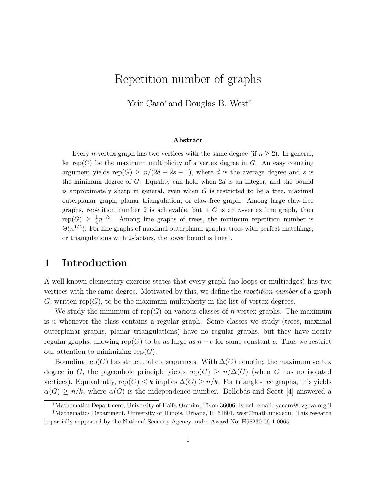# Repetition number of graphs

Yair Caro<sup>∗</sup> and Douglas B. West†

#### Abstract

Every *n*-vertex graph has two vertices with the same degree (if  $n \geq 2$ ). In general, let rep(G) be the maximum multiplicity of a vertex degree in  $G$ . An easy counting argument yields rep(G)  $\geq n/(2d-2s+1)$ , where d is the average degree and s is the minimum degree of  $G$ . Equality can hold when  $2d$  is an integer, and the bound is approximately sharp in general, even when  $G$  is restricted to be a tree, maximal outerplanar graph, planar triangulation, or claw-free graph. Among large claw-free graphs, repetition number 2 is achievable, but if  $G$  is an *n*-vertex line graph, then  $\operatorname{rep}(G) \ \geq \ \frac{1}{4}$  $\frac{1}{4}n^{1/3}$ . Among line graphs of trees, the minimum repetition number is  $\Theta(n^{1/2})$ . For line graphs of maximal outerplanar graphs, trees with perfect matchings, or triangulations with 2-factors, the lower bound is linear.

## 1 Introduction

A well-known elementary exercise states that every graph (no loops or multiedges) has two vertices with the same degree. Motivated by this, we define the repetition number of a graph G, written rep(G), to be the maximum multiplicity in the list of vertex degrees.

We study the minimum of rep(G) on various classes of *n*-vertex graphs. The maximum is n whenever the class contains a regular graph. Some classes we study (trees, maximal outerplanar graphs, planar triangulations) have no regular graphs, but they have nearly regular graphs, allowing rep(G) to be as large as  $n - c$  for some constant c. Thus we restrict our attention to minimizing rep $(G)$ .

Bounding rep(G) has structural consequences. With  $\Delta(G)$  denoting the maximum vertex degree in G, the pigeonhole principle yields rep(G) >  $n/\Delta(G)$  (when G has no isolated vertices). Equivalently, rep(G)  $\leq k$  implies  $\Delta(G) \geq n/k$ . For triangle-free graphs, this yields  $\alpha(G) \geq n/k$ , where  $\alpha(G)$  is the independence number. Bollobás and Scott [4] answered a

<sup>∗</sup>Mathematics Department, University of Haifa-Oranim, Tivon 36006, Israel. email: yacaro@kvgeva.org.il

<sup>†</sup>Mathematics Department, University of Illinois, Urbana, IL 61801, west@math.uiuc.edu. This research is partially supported by the National Security Agency under Award No. H98230-06-1-0065.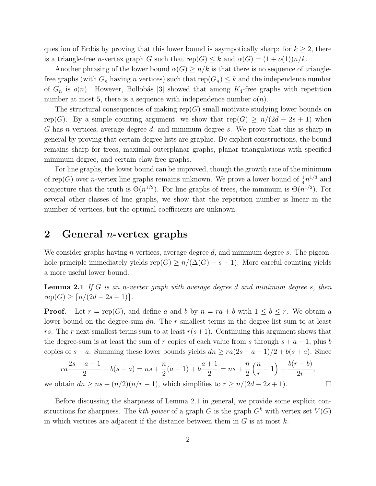question of Erdős by proving that this lower bound is asympotically sharp: for  $k \geq 2$ , there is a triangle-free *n*-vertex graph G such that  $rep(G) \leq k$  and  $\alpha(G) = (1 + o(1))n/k$ .

Another phrasing of the lower bound  $\alpha(G) \geq n/k$  is that there is no sequence of trianglefree graphs (with  $G_n$  having n vertices) such that  $rep(G_n) \leq k$  and the independence number of  $G_n$  is  $o(n)$ . However, Bollobás [3] showed that among  $K_4$ -free graphs with repetition number at most 5, there is a sequence with independence number  $o(n)$ .

The structural consequences of making  $rep(G)$  small motivate studying lower bounds on rep(G). By a simple counting argument, we show that rep(G)  $\geq n/(2d - 2s + 1)$  when G has n vertices, average degree d, and minimum degree s. We prove that this is sharp in general by proving that certain degree lists are graphic. By explicit constructions, the bound remains sharp for trees, maximal outerplanar graphs, planar triangulations with specified minimum degree, and certain claw-free graphs.

For line graphs, the lower bound can be improved, though the growth rate of the minimum of rep(G) over *n*-vertex line graphs remains unknown. We prove a lower bound of  $\frac{1}{4}n^{1/3}$  and 4 conjecture that the truth is  $\Theta(n^{1/2})$ . For line graphs of trees, the minimum is  $\Theta(n^{1/2})$ . For several other classes of line graphs, we show that the repetition number is linear in the number of vertices, but the optimal coefficients are unknown.

### 2 General *n*-vertex graphs

We consider graphs having n vertices, average degree  $d$ , and minimum degree  $s$ . The pigeonhole principle immediately yields  $rep(G) \geq n/(\Delta(G) - s + 1)$ . More careful counting yields a more useful lower bound.

**Lemma 2.1** If G is an n-vertex graph with average degree d and minimum degree s, then  $rep(G) \geq \lceil n/(2d - 2s + 1) \rceil$ .

**Proof.** Let  $r = \text{rep}(G)$ , and define a and b by  $n = ra + b$  with  $1 \leq b \leq r$ . We obtain a lower bound on the degree-sum  $dn$ . The r smallest terms in the degree list sum to at least rs. The r next smallest terms sum to at least  $r(s+1)$ . Continuing this argument shows that the degree-sum is at least the sum of r copies of each value from s through  $s + a - 1$ , plus b copies of  $s + a$ . Summing these lower bounds yields  $dn \geq ra(2s + a - 1)/2 + b(s + a)$ . Since

$$
ra\frac{2s+a-1}{2} + b(s+a) = ns + \frac{n}{2}(a-1) + b\frac{a+1}{2} = ns + \frac{n}{2}\left(\frac{n}{r} - 1\right) + \frac{b(r-b)}{2r},
$$

we obtain  $dn \ge ns + (n/2)(n/r - 1)$ , which simplifies to  $r \ge n/(2d - 2s + 1)$ .

Before discussing the sharpness of Lemma 2.1 in general, we provide some explicit constructions for sharpness. The kth power of a graph G is the graph  $G^k$  with vertex set  $V(G)$ in which vertices are adjacent if the distance between them in  $G$  is at most  $k$ .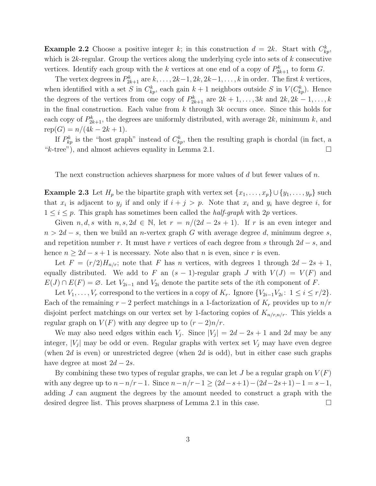**Example 2.2** Choose a positive integer k; in this construction  $d = 2k$ . Start with  $C_{kp}^k$ , which is  $2k$ -regular. Group the vertices along the underlying cycle into sets of  $k$  consecutive vertices. Identify each group with the k vertices at one end of a copy of  $P_{2k+1}^k$  to form G.

The vertex degrees in  $P_{2k+1}^k$  are  $k, \ldots, 2k-1, 2k, 2k-1, \ldots, k$  in order. The first k vertices, when identified with a set S in  $C_{kp}^k$ , each gain  $k+1$  neighbors outside S in  $V(C_{kp}^k)$ . Hence the degrees of the vertices from one copy of  $P_{2k+1}^k$  are  $2k+1,\ldots, 3k$  and  $2k, 2k-1,\ldots,k$ in the final construction. Each value from  $k$  through  $3k$  occurs once. Since this holds for each copy of  $P_{2k+1}^k$ , the degrees are uniformly distributed, with average  $2k$ , minimum k, and  $rep(G) = n/(4k - 2k + 1).$ 

If  $P_{kp}^k$  is the "host graph" instead of  $C_{kp}^k$ , then the resulting graph is chordal (in fact, a "k-tree"), and almost achieves equality in Lemma 2.1.  $\square$ 

The next construction achieves sharpness for more values of d but fewer values of  $n$ .

**Example 2.3** Let  $H_p$  be the bipartite graph with vertex set  $\{x_1, \ldots, x_p\} \cup \{y_1, \ldots, y_p\}$  such that  $x_i$  is adjacent to  $y_j$  if and only if  $i + j > p$ . Note that  $x_i$  and  $y_i$  have degree i, for  $1 \leq i \leq p$ . This graph has sometimes been called the *half-graph* with 2p vertices.

Given  $n, d, s$  with  $n, s, 2d \in \mathbb{N}$ , let  $r = n/(2d - 2s + 1)$ . If r is an even integer and  $n > 2d - s$ , then we build an n-vertex graph G with average degree d, minimum degree s, and repetition number r. It must have r vertices of each degree from s through  $2d - s$ , and hence  $n \geq 2d - s + 1$  is necessary. Note also that n is even, since r is even.

Let  $F = (r/2)H_{n/r}$ ; note that F has n vertices, with degrees 1 through  $2d - 2s + 1$ , equally distributed. We add to F an  $(s - 1)$ -regular graph J with  $V(J) = V(F)$  and  $E(J) \cap E(F) = \emptyset$ . Let  $V_{2i-1}$  and  $V_{2i}$  denote the partite sets of the *i*th component of F.

Let  $V_1, \ldots, V_r$  correspond to the vertices in a copy of  $K_r$ . Ignore  $\{V_{2i-1}V_{2i}: 1 \le i \le r/2\}$ . Each of the remaining  $r-2$  perfect matchings in a 1-factorization of  $K_r$  provides up to  $n/r$ disjoint perfect matchings on our vertex set by 1-factoring copies of  $K_{n/r,n/r}$ . This yields a regular graph on  $V(F)$  with any degree up to  $(r-2)n/r$ .

We may also need edges within each  $V_j$ . Since  $|V_j| = 2d - 2s + 1$  and 2d may be any integer,  $|V_j|$  may be odd or even. Regular graphs with vertex set  $V_j$  may have even degree (when  $2d$  is even) or unrestricted degree (when  $2d$  is odd), but in either case such graphs have degree at most  $2d - 2s$ .

By combining these two types of regular graphs, we can let J be a regular graph on  $V(F)$ with any degree up to  $n-n/r-1$ . Since  $n-n/r-1 \ge (2d-s+1)-(2d-2s+1)-1 = s-1$ , adding J can augment the degrees by the amount needed to construct a graph with the desired degree list. This proves sharpness of Lemma 2.1 in this case.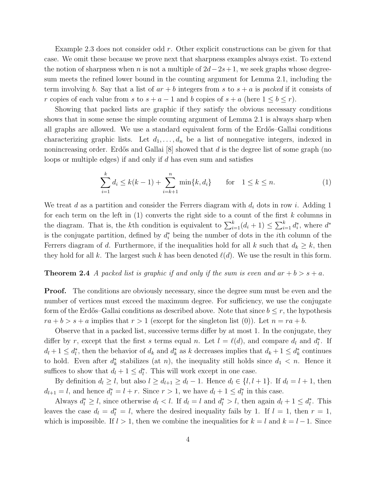Example 2.3 does not consider odd  $r$ . Other explicit constructions can be given for that case. We omit these because we prove next that sharpness examples always exist. To extend the notion of sharpness when n is not a multiple of  $2d-2s+1$ , we seek graphs whose degreesum meets the refined lower bound in the counting argument for Lemma 2.1, including the term involving b. Say that a list of  $ar + b$  integers from s to  $s + a$  is packed if it consists of r copies of each value from s to  $s + a - 1$  and b copies of  $s + a$  (here  $1 \leq b \leq r$ ).

Showing that packed lists are graphic if they satisfy the obvious necessary conditions shows that in some sense the simple counting argument of Lemma 2.1 is always sharp when all graphs are allowed. We use a standard equivalent form of the Erdős–Gallai conditions characterizing graphic lists. Let  $d_1, \ldots, d_n$  be a list of nonnegative integers, indexed in nonincreasing order. Erdős and Gallai  $[8]$  showed that d is the degree list of some graph (no loops or multiple edges) if and only if d has even sum and satisfies

$$
\sum_{i=1}^{k} d_i \le k(k-1) + \sum_{i=k+1}^{n} \min\{k, d_i\} \quad \text{for} \quad 1 \le k \le n. \tag{1}
$$

We treat d as a partition and consider the Ferrers diagram with  $d_i$  dots in row i. Adding 1 for each term on the left in  $(1)$  converts the right side to a count of the first k columns in the diagram. That is, the k<sup>th</sup> condition is equivalent to  $\sum_{i=1}^{k} (d_i + 1) \leq \sum_{i=1}^{k} d_i^*$ , where  $d^*$ is the conjugate partition, defined by  $d_i^*$  being the number of dots in the *i*th column of the Ferrers diagram of d. Furthermore, if the inequalities hold for all k such that  $d_k \geq k$ , then they hold for all k. The largest such k has been denoted  $\ell(d)$ . We use the result in this form.

#### **Theorem 2.4** A packed list is graphic if and only if the sum is even and  $ar + b > s + a$ .

**Proof.** The conditions are obviously necessary, since the degree sum must be even and the number of vertices must exceed the maximum degree. For sufficiency, we use the conjugate form of the Erdős–Gallai conditions as described above. Note that since  $b \leq r$ , the hypothesis  $ra + b > s + a$  implies that  $r > 1$  (except for the singleton list (0)). Let  $n = ra + b$ .

Observe that in a packed list, successive terms differ by at most 1. In the conjugate, they differ by r, except that the first s terms equal n. Let  $l = \ell(d)$ , and compare  $d_l$  and  $d_l^*$ . If  $d_l + 1 \leq d_l^*$ , then the behavior of  $d_k$  and  $d_k^*$  as k decreases implies that  $d_k + 1 \leq d_k^*$  continues to hold. Even after  $d_k^*$  stabilizes (at n), the inequality still holds since  $d_1 < n$ . Hence it suffices to show that  $d_l + 1 \leq d_l^*$ . This will work except in one case.

By definition  $d_l \geq l$ , but also  $l \geq d_{l+1} \geq d_l - 1$ . Hence  $d_l \in \{l, l+1\}$ . If  $d_l = l+1$ , then  $d_{l+1} = l$ , and hence  $d_l^* = l + r$ . Since  $r > 1$ , we have  $d_l + 1 \leq d_l^*$  in this case.

Always  $d_l^* \geq l$ , since otherwise  $d_l < l$ . If  $d_l = l$  and  $d_l^* > l$ , then again  $d_l + 1 \leq d_l^*$ . This leaves the case  $d_l = d_l^* = l$ , where the desired inequality fails by 1. If  $l = 1$ , then  $r = 1$ , which is impossible. If  $l > 1$ , then we combine the inequalities for  $k = l$  and  $k = l - 1$ . Since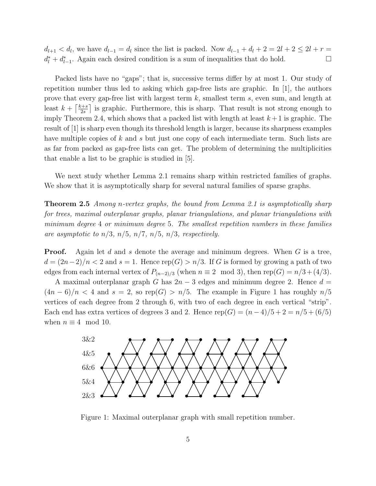$d_{l+1} < d_l$ , we have  $d_{l-1} = d_l$  since the list is packed. Now  $d_{l-1} + d_l + 2 = 2l + 2 \leq 2l + r =$  $d_l^* + d_{l-1}^*$ . Again each desired condition is a sum of inequalities that do hold.  $\Box$ 

Packed lists have no "gaps"; that is, successive terms differ by at most 1. Our study of repetition number thus led to asking which gap-free lists are graphic. In [1], the authors prove that every gap-free list with largest term  $k$ , smallest term  $s$ , even sum, and length at least  $k + \left\lceil \frac{k+s}{2s} \right\rceil$  $\frac{z+s}{2s}$  is graphic. Furthermore, this is sharp. That result is not strong enough to imply Theorem 2.4, which shows that a packed list with length at least  $k+1$  is graphic. The result of [1] is sharp even though its threshold length is larger, because its sharpness examples have multiple copies of k and s but just one copy of each intermediate term. Such lists are as far from packed as gap-free lists can get. The problem of determining the multiplicities that enable a list to be graphic is studied in [5].

We next study whether Lemma 2.1 remains sharp within restricted families of graphs. We show that it is asymptotically sharp for several natural families of sparse graphs.

Theorem 2.5 Among n-vertex graphs, the bound from Lemma 2.1 is asymptotically sharp for trees, maximal outerplanar graphs, planar triangulations, and planar triangulations with minimum degree 4 or minimum degree 5. The smallest repetition numbers in these families are asymptotic to  $n/3$ ,  $n/5$ ,  $n/7$ ,  $n/5$ ,  $n/3$ , respectively.

**Proof.** Again let d and s denote the average and minimum degrees. When  $G$  is a tree,  $d = (2n-2)/n < 2$  and  $s = 1$ . Hence rep(G) >  $n/3$ . If G is formed by growing a path of two edges from each internal vertex of  $P_{(n-2)/3}$  (when  $n \equiv 2 \mod 3$ ), then rep( $G = n/3 + (4/3)$ .

A maximal outerplanar graph G has  $2n-3$  edges and minimum degree 2. Hence  $d =$  $(4n-6)/n < 4$  and  $s = 2$ , so rep(G) >  $n/5$ . The example in Figure 1 has roughly  $n/5$ vertices of each degree from 2 through 6, with two of each degree in each vertical "strip". Each end has extra vertices of degrees 3 and 2. Hence  $rep(G) = (n-4)/5 + 2 = n/5 + (6/5)$ when  $n \equiv 4 \mod 10$ .



Figure 1: Maximal outerplanar graph with small repetition number.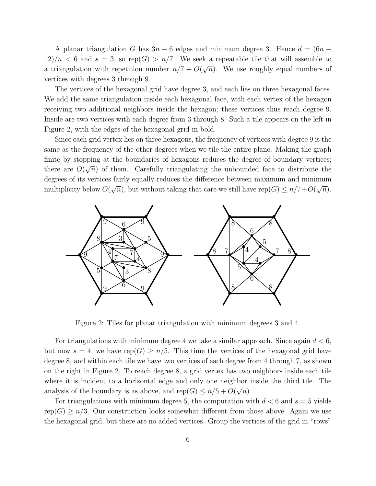A planar triangulation G has  $3n - 6$  edges and minimum degree 3. Hence  $d = (6n - 1)$  $12/n < 6$  and  $s = 3$ , so rep(G) > n/7. We seek a repeatable tile that will assemble to a triangulation with repetition number  $n/7 + O(\sqrt{n})$ . We use roughly equal numbers of vertices with degrees 3 through 9.

The vertices of the hexagonal grid have degree 3, and each lies on three hexagonal faces. We add the same triangulation inside each hexagonal face, with each vertex of the hexagon receiving two additional neighbors inside the hexagon; these vertices thus reach degree 9. Inside are two vertices with each degree from 3 through 8. Such a tile appears on the left in Figure 2, with the edges of the hexagonal grid in bold.

Since each grid vertex lies on three hexagons, the frequency of vertices with degree 9 is the same as the frequency of the other degrees when we tile the entire plane. Making the graph finite by stopping at the boundaries of hexagons reduces the degree of boundary vertices; there are  $O(\sqrt{n})$  of them. Carefully triangulating the unbounded face to distribute the degrees of its vertices fairly equally reduces the difference between maximum and minimum multiplicity below  $O(\sqrt{n})$ , but without taking that care we still have rep $(G) \leq n/7 + O(\sqrt{n})$ .



Figure 2: Tiles for planar triangulation with minimum degrees 3 and 4.

For triangulations with minimum degree 4 we take a similar approach. Since again  $d < 6$ , but now  $s = 4$ , we have rep(G)  $\geq n/5$ . This time the vertices of the hexagonal grid have degree 8, and within each tile we have two vertices of each degree from 4 through 7, as shown on the right in Figure 2. To reach degree 8, a grid vertex has two neighbors inside each tile where it is incident to a horizontal edge and only one neighbor inside the third tile. The analysis of the boundary is as above, and  $rep(G) \leq n/5 + O(\sqrt{n}).$ 

For triangulations with minimum degree 5, the computation with  $d < 6$  and  $s = 5$  yields rep(G)  $\geq n/3$ . Our construction looks somewhat different from those above. Again we use the hexagonal grid, but there are no added vertices. Group the vertices of the grid in "rows"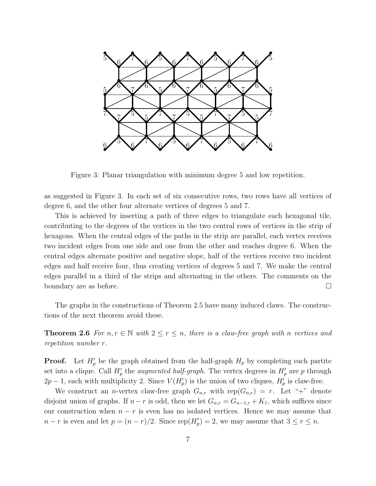

Figure 3: Planar triangulation with minimum degree 5 and low repetition.

as suggested in Figure 3. In each set of six consecutive rows, two rows have all vertices of degree 6, and the other four alternate vertices of degrees 5 and 7.

This is achieved by inserting a path of three edges to triangulate each hexagonal tile, contributing to the degrees of the vertices in the two central rows of vertices in the strip of hexagons. When the central edges of the paths in the strip are parallel, each vertex receives two incident edges from one side and one from the other and reaches degree 6. When the central edges alternate positive and negative slope, half of the vertices receive two incident edges and half receive four, thus creating vertices of degrees 5 and 7. We make the central edges parallel in a third of the strips and alternating in the others. The comments on the boundary are as before.

The graphs in the constructions of Theorem 2.5 have many induced claws. The constructions of the next theorem avoid these.

**Theorem 2.6** For  $n, r \in \mathbb{N}$  with  $2 \le r \le n$ , there is a claw-free graph with n vertices and repetition number r.

**Proof.** Let  $H'_p$  be the graph obtained from the half-graph  $H_p$  by completing each partite set into a clique. Call  $H'_p$  the *augmented half-graph*. The vertex degrees in  $H'_p$  are p through  $2p-1$ , each with multiplicity 2. Since  $V(H_p')$  is the union of two cliques,  $H_p'$  is claw-free.

We construct an *n*-vertex claw-free graph  $G_{n,r}$  with rep $(G_{n,r}) = r$ . Let "+" denote disjoint union of graphs. If  $n - r$  is odd, then we let  $G_{n,r} = G_{n-1,r} + K_1$ , which suffices since our construction when  $n - r$  is even has no isolated vertices. Hence we may assume that  $n-r$  is even and let  $p = (n-r)/2$ . Since  $\text{rep}(H_p') = 2$ , we may assume that  $3 \le r \le n$ .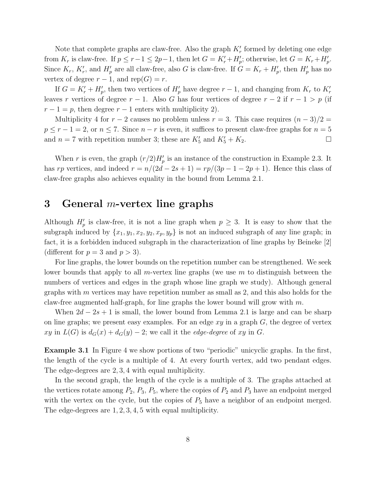Note that complete graphs are claw-free. Also the graph  $K'_{r}$  formed by deleting one edge from  $K_r$  is claw-free. If  $p \le r-1 \le 2p-1$ , then let  $G = K'_r + H'_p$ ; otherwise, let  $G = K_r + H'_p$ . Since  $K_r$ ,  $K'_r$ , and  $H'_p$  are all claw-free, also G is claw-free. If  $G = K_r + H'_p$ , then  $H'_p$  has no vertex of degree  $r-1$ , and rep( $G$ ) = r.

If  $G = K'_{r} + H'_{p}$ , then two vertices of  $H'_{p}$  have degree  $r - 1$ , and changing from  $K_{r}$  to  $K'_{r}$ leaves r vertices of degree  $r - 1$ . Also G has four vertices of degree  $r - 2$  if  $r - 1 > p$  (if  $r-1=p$ , then degree  $r-1$  enters with multiplicity 2).

Multiplicity 4 for  $r - 2$  causes no problem unless  $r = 3$ . This case requires  $(n - 3)/2 =$  $p \le r - 1 = 2$ , or  $n \le 7$ . Since  $n - r$  is even, it suffices to present claw-free graphs for  $n = 5$ and  $n = 7$  with repetition number 3; these are  $K'_5$  and  $K'_5 + K_2$ .

When r is even, the graph  $(r/2)H_p'$  is an instance of the construction in Example 2.3. It has rp vertices, and indeed  $r = n/(2d - 2s + 1) = rp/(3p - 1 - 2p + 1)$ . Hence this class of claw-free graphs also achieves equality in the bound from Lemma 2.1.

### 3 General *m*-vertex line graphs

Although  $H'_p$  is claw-free, it is not a line graph when  $p \geq 3$ . It is easy to show that the subgraph induced by  $\{x_1, y_1, x_2, y_2, x_p, y_p\}$  is not an induced subgraph of any line graph; in fact, it is a forbidden induced subgraph in the characterization of line graphs by Beineke [2] (different for  $p = 3$  and  $p > 3$ ).

For line graphs, the lower bounds on the repetition number can be strengthened. We seek lower bounds that apply to all m-vertex line graphs (we use  $m$  to distinguish between the numbers of vertices and edges in the graph whose line graph we study). Although general graphs with  $m$  vertices may have repetition number as small as 2, and this also holds for the claw-free augmented half-graph, for line graphs the lower bound will grow with  $m$ .

When  $2d - 2s + 1$  is small, the lower bound from Lemma 2.1 is large and can be sharp on line graphs; we present easy examples. For an edge  $xy$  in a graph  $G$ , the degree of vertex xy in  $L(G)$  is  $d_G(x) + d_G(y) - 2$ ; we call it the *edge-degree* of xy in G.

Example 3.1 In Figure 4 we show portions of two "periodic" unicyclic graphs. In the first, the length of the cycle is a multiple of 4. At every fourth vertex, add two pendant edges. The edge-degrees are 2, 3, 4 with equal multiplicity.

In the second graph, the length of the cycle is a multiple of 3. The graphs attached at the vertices rotate among  $P_2$ ,  $P_3$ ,  $P_5$ , where the copies of  $P_2$  and  $P_3$  have an endpoint merged with the vertex on the cycle, but the copies of  $P_5$  have a neighbor of an endpoint merged. The edge-degrees are 1, 2, 3, 4, 5 with equal multiplicity.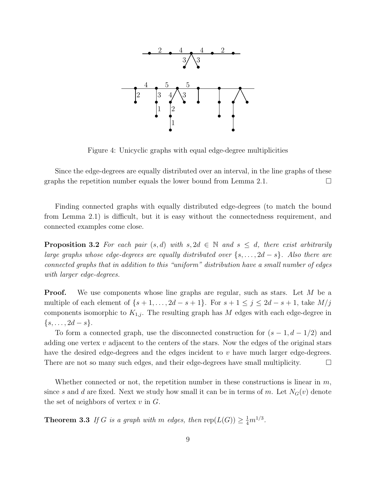

Figure 4: Unicyclic graphs with equal edge-degree multiplicities

Since the edge-degrees are equally distributed over an interval, in the line graphs of these graphs the repetition number equals the lower bound from Lemma 2.1.  $\Box$ 

Finding connected graphs with equally distributed edge-degrees (to match the bound from Lemma 2.1) is difficult, but it is easy without the connectedness requirement, and connected examples come close.

**Proposition 3.2** For each pair  $(s, d)$  with  $s, 2d \in \mathbb{N}$  and  $s \leq d$ , there exist arbitrarily large graphs whose edge-degrees are equally distributed over  $\{s, \ldots, 2d - s\}$ . Also there are connected graphs that in addition to this "uniform" distribution have a small number of edges with larger edge-degrees.

**Proof.** We use components whose line graphs are regular, such as stars. Let M be a multiple of each element of  $\{s+1,\ldots,2d-s+1\}$ . For  $s+1 \leq j \leq 2d-s+1$ , take  $M/j$ components isomorphic to  $K_{1,j}$ . The resulting graph has M edges with each edge-degree in  $\{s,\ldots,2d-s\}.$ 

To form a connected graph, use the disconnected construction for  $(s - 1, d - 1/2)$  and adding one vertex  $v$  adjacent to the centers of the stars. Now the edges of the original stars have the desired edge-degrees and the edges incident to v have much larger edge-degrees. There are not so many such edges, and their edge-degrees have small multiplicity.

Whether connected or not, the repetition number in these constructions is linear in  $m$ , since s and d are fixed. Next we study how small it can be in terms of m. Let  $N_G(v)$  denote the set of neighbors of vertex  $v$  in  $G$ .

**Theorem 3.3** If G is a graph with m edges, then  $\text{rep}(L(G)) \geq \frac{1}{4}m^{1/3}$ .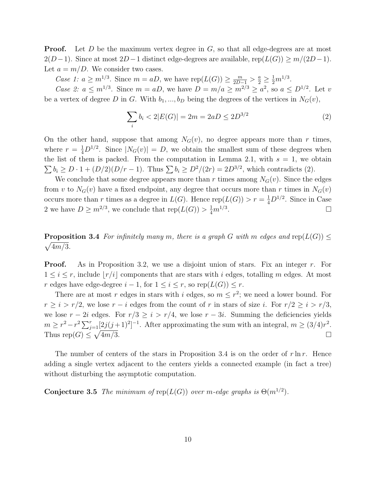**Proof.** Let D be the maximum vertex degree in  $G$ , so that all edge-degrees are at most  $2(D-1)$ . Since at most  $2D-1$  distinct edge-degrees are available, rep( $L(G) \geq m/(2D-1)$ . Let  $a = m/D$ . We consider two cases.

*Case 1:*  $a \ge m^{1/3}$ . Since  $m = aD$ , we have  $\text{rep}(L(G)) \ge \frac{m}{2D-1} > \frac{a}{2} \ge \frac{1}{2}m^{1/3}$ .

Case 2:  $a \leq m^{1/3}$ . Since  $m = aD$ , we have  $D = m/a \geq m^{2/3} \geq a^2$ , so  $a \leq D^{1/2}$ . Let v be a vertex of degree D in G. With  $b_1, ..., b_D$  being the degrees of the vertices in  $N_G(v)$ ,

$$
\sum_{i} b_{i} < 2|E(G)| = 2m = 2aD \le 2D^{3/2} \tag{2}
$$

On the other hand, suppose that among  $N_G(v)$ , no degree appears more than r times, where  $r = \frac{1}{4}D^{1/2}$ . Since  $|N_G(v)| = D$ , we obtain the smallest sum of these degrees when the list of them is packed. From the computation in Lemma 2.1, with  $s = 1$ , we obtain  $\sum b_i \ge D \cdot 1 + (D/2)(D/r - 1)$ . Thus  $\sum b_i \ge D^2/(2r) = 2D^{3/2}$ , which contradicts (2).

We conclude that some degree appears more than r times among  $N_G(v)$ . Since the edges from v to  $N_G(v)$  have a fixed endpoint, any degree that occurs more than r times in  $N_G(v)$ occurs more than r times as a degree in  $L(G)$ . Hence  $rep(L(G)) > r = \frac{1}{4}D^{1/2}$ . Since in Case 2 we have  $D \geq m^{2/3}$ , we conclude that  $rep(L(G)) > \frac{1}{4}m^{1/3}$ . В последните последните и производите на селото на селото на селото на селото на селото на селото на селото<br>В селото на селото на селото на селото на селото на селото на селото на селото на селото на селото на селото н

**Proposition 3.4** For infinitely many m, there is a graph G with m edges and rep( $L(G)$ )  $\leq$  $\sqrt{4m/3}$ .

**Proof.** As in Proposition 3.2, we use a disjoint union of stars. Fix an integer r. For  $1 \leq i \leq r$ , include  $|r/i|$  components that are stars with i edges, totalling m edges. At most r edges have edge-degree  $i-1$ , for  $1 \leq i \leq r$ , so  $rep(L(G)) \leq r$ .

There are at most r edges in stars with i edges, so  $m \leq r^2$ ; we need a lower bound. For  $r \geq i > r/2$ , we lose  $r - i$  edges from the count of r in stars of size i. For  $r/2 \geq i > r/3$ , we lose  $r - 2i$  edges. For  $r/3 \geq i > r/4$ , we lose  $r - 3i$ . Summing the deficiencies yields  $m \geq r^2 - r^2 \sum_{j=1}^r \left[2j(j+1)^2\right]^{-1}$ . After approximating the sum with an integral,  $m \geq (3/4)r^2$ . Thus  $rep(G) \leq \sqrt{ }$  $\frac{4m}{3}$ .

The number of centers of the stars in Proposition 3.4 is on the order of  $r \ln r$ . Hence adding a single vertex adjacent to the centers yields a connected example (in fact a tree) without disturbing the asymptotic computation.

**Conjecture 3.5** The minimum of  $rep(L(G))$  over m-edge graphs is  $\Theta(m^{1/2})$ .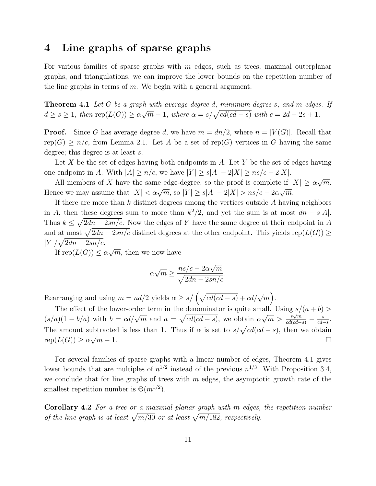### 4 Line graphs of sparse graphs

For various families of sparse graphs with  $m$  edges, such as trees, maximal outerplanar graphs, and triangulations, we can improve the lower bounds on the repetition number of the line graphs in terms of  $m$ . We begin with a general argument.

**Theorem 4.1** Let G be a graph with average degree d, minimum degree s, and m edges. If  $d \geq s \geq 1$ , then  $\text{rep}(L(G)) \geq \alpha \sqrt{m} - 1$ , where  $\alpha = s/\sqrt{cd(cd-s)}$  with  $c = 2d - 2s + 1$ .

**Proof.** Since G has average degree d, we have  $m = dn/2$ , where  $n = |V(G)|$ . Recall that rep(G)  $\geq n/c$ , from Lemma 2.1. Let A be a set of rep(G) vertices in G having the same degree; this degree is at least s.

Let X be the set of edges having both endpoints in A. Let Y be the set of edges having one endpoint in A. With  $|A| \ge n/c$ , we have  $|Y| \ge s|A| - 2|X| \ge ns/c - 2|X|$ .

All members of X have the same edge-degree, so the proof is complete if  $|X| \ge \alpha \sqrt{m}$ . Hence we may assume that  $|X| < \alpha \sqrt{m}$ , so  $|Y| \ge s|A| - 2|X| > ns/c - 2\alpha \sqrt{m}$ .

If there are more than  $k$  distinct degrees among the vertices outside  $A$  having neighbors in A, then these degrees sum to more than  $k^2/2$ , and yet the sum is at most  $dn - s|A|$ . Thus  $k \leq \sqrt{2dn - 2sn/c}$ . Now the edges of Y have the same degree at their endpoint in A and at most  $\sqrt{2dn - 2sn/c}$  distinct degrees at the other endpoint. This yields rep( $L(G)$ ) ≥  $|Y|/\sqrt{2dn-2sn/c}$ .

If  $\text{rep}(L(G)) \le \alpha \sqrt{m}$ , then we now have

$$
\alpha\sqrt{m} \ge \frac{ns/c - 2\alpha\sqrt{m}}{\sqrt{2dn - 2sn/c}}.
$$

Rearranging and using  $m = nd/2$  yields  $\alpha \ge s / (\sqrt{cd(cd-s)} + cd/\sqrt{m})$ .

The effect of the lower-order term in the denominator is quite small. Using  $s/(a + b)$  $(s/a)(1-b/a)$  with  $b = cd/\sqrt{m}$  and  $a = \sqrt{cd(cd-s)}$ , we obtain  $\alpha\sqrt{m} > \frac{s\sqrt{m}}{cd(cd-s)} - \frac{s}{cd}$  $rac{s}{cd-s}$ . The amount subtracted is less than 1. Thus if  $\alpha$  is set to  $s/\sqrt{cd(cd-s)}$ , then we obtain  $rep(L(G)) \geq \alpha \sqrt{ }$  $\overline{m} - 1.$ 

For several families of sparse graphs with a linear number of edges, Theorem 4.1 gives lower bounds that are multiples of  $n^{1/2}$  instead of the previous  $n^{1/3}$ . With Proposition 3.4, we conclude that for line graphs of trees with  $m$  edges, the asymptotic growth rate of the smallest repetition number is  $\Theta(m^{1/2})$ .

Corollary 4.2 For a tree or a maximal planar graph with m edges, the repetition number of the line graph is at least  $\sqrt{m/30}$  or at least  $\sqrt{m/182}$ , respectively.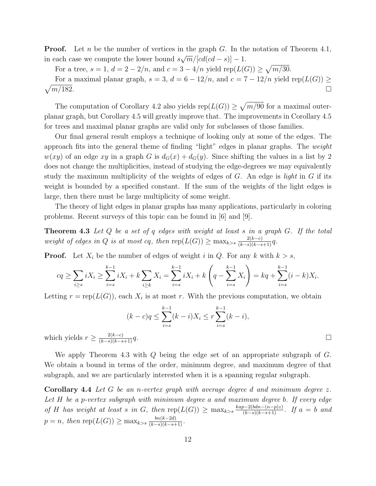**Proof.** Let n be the number of vertices in the graph G. In the notation of Theorem 4.1, in each case we compute the lower bound  $s\sqrt{m}/[cd(cd - s)] - 1$ .

For a tree,  $s = 1$ ,  $d = 2 - 2/n$ , and  $c = 3 - 4/n$  yield  $rep(L(G)) \ge \sqrt{m/30}$ .

For a maximal planar graph,  $s = 3$ ,  $d = 6 - 12/n$ , and  $c = 7 - 12/n$  yield rep( $L(G)$ ) ≥  $\sqrt{m/182}$ .  $m/182.$ 

The computation of Corollary 4.2 also yields  $rep(L(G)) \geq \sqrt{m/90}$  for a maximal outerplanar graph, but Corollary 4.5 will greatly improve that. The improvements in Corollary 4.5 for trees and maximal planar graphs are valid only for subclasses of those families.

Our final general result employs a technique of looking only at some of the edges. The approach fits into the general theme of finding "light" edges in planar graphs. The weight  $w(xy)$  of an edge xy in a graph G is  $d_G(x) + d_G(y)$ . Since shifting the values in a list by 2 does not change the multiplicities, instead of studying the edge-degrees we may equivalently study the maximum multiplicity of the weights of edges of  $G$ . An edge is *light* in  $G$  if its weight is bounded by a specified constant. If the sum of the weights of the light edges is large, then there must be large multiplicity of some weight.

The theory of light edges in planar graphs has many applications, particularly in coloring problems. Recent surveys of this topic can be found in [6] and [9].

**Theorem 4.3** Let  $Q$  be a set of  $q$  edges with weight at least  $s$  in a graph  $G$ . If the total weight of edges in Q is at most cq, then  $\text{rep}(L(G)) \ge \max_{k>s} \frac{2(k-c)}{(k-s)(k-s+1)}q$ .

**Proof.** Let  $X_i$  be the number of edges of weight i in Q. For any k with  $k > s$ ,

$$
cq \ge \sum_{i\ge s} iX_i \ge \sum_{i=s}^{k-1} iX_i + k\sum_{i\ge k} X_i = \sum_{i=s}^{k-1} iX_i + k\left(q - \sum_{i=s}^{k-1} X_i\right) = kq + \sum_{i=s}^{k-1} (i-k)X_i.
$$

Letting  $r = \text{rep}(L(G))$ , each  $X_i$  is at most r. With the previous computation, we obtain

$$
(k-c)q \le \sum_{i=s}^{k-1} (k-i)X_i \le r \sum_{i=s}^{k-1} (k-i),
$$
  
ields  $r \ge \frac{2(k-c)}{(k-s)(k-s+1)}q$ .

which y

We apply Theorem 4.3 with Q being the edge set of an appropriate subgraph of G. We obtain a bound in terms of the order, minimum degree, and maximum degree of that subgraph, and we are particularly interested when it is a spanning regular subgraph.

**Corollary 4.4** Let G be an n-vertex graph with average degree d and minimum degree  $z$ . Let H be a p-vertex subgraph with minimum degree a and maximum degree b. If every edge of H has weight at least s in G, then  $\text{rep}(L(G)) \ge \max_{k>s} \frac{kap-2(bdn-(n-p)z)}{(k-s)(k-s+1)}$ . If  $a = b$  and  $p = n$ , then rep $(L(G)) \ge \max_{k>s} \frac{bn(k-2d)}{(k-s)(k-s+1)}$ .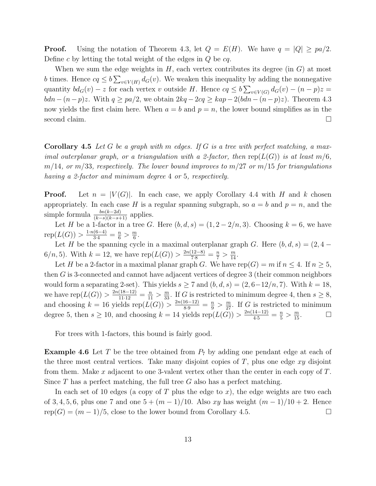**Proof.** Using the notation of Theorem 4.3, let  $Q = E(H)$ . We have  $q = |Q| \geq pa/2$ . Define c by letting the total weight of the edges in  $Q$  be  $cq$ .

When we sum the edge weights in  $H$ , each vertex contributes its degree (in  $G$ ) at most b times. Hence  $cq \le b \sum_{v \in V(H)} d_G(v)$ . We weaken this inequality by adding the nonnegative quantity  $bd_G(v) - z$  for each vertex v outside H. Hence  $cq \le b\sum_{v \in V(G)} d_G(v) - (n-p)z =$  $bdn-(n-p)z$ . With  $q \geq pa/2$ , we obtain  $2kq-2cq \geq kap-2(bdn-(n-p)z)$ . Theorem 4.3 now yields the first claim here. When  $a = b$  and  $p = n$ , the lower bound simplifies as in the second claim.  $\Box$ 

**Corollary 4.5** Let G be a graph with m edges. If G is a tree with perfect matching, a maximal outerplanar graph, or a triangulation with a 2-factor, then  $rep(L(G))$  is at least  $m/6$ ,  $m/14$ , or  $m/33$ , respectively. The lower bound improves to  $m/27$  or  $m/15$  for triangulations having a 2-factor and minimum degree 4 or 5, respectively.

**Proof.** Let  $n = |V(G)|$ . In each case, we apply Corollary 4.4 with H and k chosen appropriately. In each case H is a regular spanning subgraph, so  $a = b$  and  $p = n$ , and the simple formula  $\frac{bn(k-2d)}{(k-s)(k-s+1)}$  applies.

Let H be a 1-factor in a tree G. Here  $(b, d, s) = (1, 2 - 2/n, 3)$ . Choosing  $k = 6$ , we have rep $(L(G)) > \frac{1 \cdot n(6-4)}{3 \cdot 4} = \frac{n}{6} > \frac{m}{6}$  $\frac{m}{6}$ .

Let H be the spanning cycle in a maximal outerplanar graph G. Here  $(b, d, s) = (2, 4 -$ 6/n, 5). With  $k = 12$ , we have  $\text{rep}(L(G)) > \frac{2n(12-8)}{7\cdot 8} = \frac{n}{7} > \frac{m}{14}$ .

Let H be a 2-factor in a maximal planar graph G. We have rep(G) = m if  $n \leq 4$ . If  $n \geq 5$ , then G is 3-connected and cannot have adjacent vertices of degree 3 (their common neighbors would form a separating 2-set). This yields  $s \geq 7$  and  $(b, d, s) = (2, 6-12/n, 7)$ . With  $k = 18$ , we have  $\text{rep}(L(G)) > \frac{2n(18-12)}{11\cdot 12} = \frac{n}{11} > \frac{m}{33}$ . If G is restricted to minimum degree 4, then  $s \ge 8$ , and choosing  $k = 16$  yields rep $(L(G)) > \frac{2n(16-12)}{8\cdot 9} = \frac{n}{9} > \frac{m}{27}$ . If G is restricted to minimum degree 5, then  $s \ge 10$ , and choosing  $k = 14$  yields rep $(L(G)) > \frac{2n(14-12)}{4\cdot 5} = \frac{n}{5} > \frac{m}{15}$ .

For trees with 1-factors, this bound is fairly good.

**Example 4.6** Let T be the tree obtained from  $P_7$  by adding one pendant edge at each of the three most central vertices. Take many disjoint copies of  $T$ , plus one edge  $xy$  disjoint from them. Make x adjacent to one 3-valent vertex other than the center in each copy of  $T$ . Since T has a perfect matching, the full tree G also has a perfect matching.

In each set of 10 edges (a copy of T plus the edge to x), the edge weights are two each of 3, 4, 5, 6, plus one 7 and one  $5 + (m-1)/10$ . Also xy has weight  $(m-1)/10 + 2$ . Hence  $rep(G) = (m-1)/5$ , close to the lower bound from Corollary 4.5.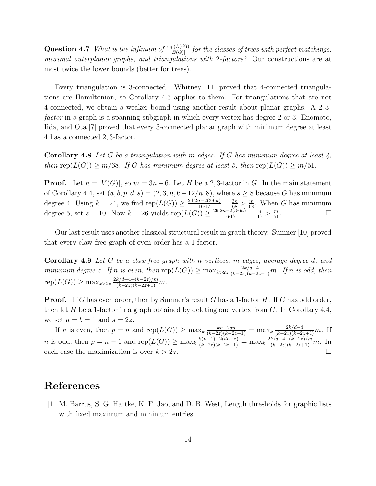**Question 4.7** What is the infimum of  $\frac{\text{rep}(L(G))}{|E(G)|}$  for the classes of trees with perfect matchings, maximal outerplanar graphs, and triangulations with 2-factors? Our constructions are at most twice the lower bounds (better for trees).

Every triangulation is 3-connected. Whitney [11] proved that 4-connected triangulations are Hamiltonian, so Corollary 4.5 applies to them. For triangulations that are not 4-connected, we obtain a weaker bound using another result about planar graphs. A 2, 3 factor in a graph is a spanning subgraph in which every vertex has degree 2 or 3. Enomoto, Iida, and Ota [7] proved that every 3-connected planar graph with minimum degree at least 4 has a connected 2, 3-factor.

**Corollary 4.8** Let G be a triangulation with m edges. If G has minimum degree at least  $\chi$ , then rep( $L(G)$ )  $\geq m/68$ . If G has minimum degree at least 5, then rep( $L(G)$ )  $\geq m/51$ .

**Proof.** Let  $n = |V(G)|$ , so  $m = 3n - 6$ . Let H be a 2, 3-factor in G. In the main statement of Corollary 4.4, set  $(a, b, p, d, s) = (2, 3, n, 6 - 12/n, 8)$ , where  $s \geq 8$  because G has minimum degree 4. Using  $k = 24$ , we find  $\text{rep}(L(G)) \ge \frac{24 \cdot 2n - 2(3 \cdot 6n)}{16 \cdot 17} = \frac{3n}{68} > \frac{m}{68}$ . When G has minimum degree 5, set  $s = 10$ . Now  $k = 26$  yields  $\text{rep}(L(G)) \ge \frac{26 \cdot 2n - 2(3 \cdot 6n)}{16 \cdot 17} = \frac{n}{17} > \frac{m}{51}$ .

Our last result uses another classical structural result in graph theory. Sumner [10] proved that every claw-free graph of even order has a 1-factor.

Corollary 4.9 Let G be a claw-free graph with n vertices, m edges, average degree d, and minimum degree z. If n is even, then  $\text{rep}(L(G)) \ge \max_{k>2z} \frac{2k/d-4}{(k-2z)(k-2z+1)}m$ . If n is odd, then  $rep(L(G)) \ge \max_{k>2z} \frac{2k/d-4-(k-2z)/m}{(k-2z)(k-2z+1)}m.$ 

**Proof.** If G has even order, then by Sumner's result G has a 1-factor  $H$ . If G has odd order, then let H be a 1-factor in a graph obtained by deleting one vertex from  $G$ . In Corollary 4.4, we set  $a = b = 1$  and  $s = 2z$ .

If *n* is even, then  $p = n$  and  $\text{rep}(L(G)) \ge \max_k \frac{kn-2dn}{(k-2z)(k-2z+1)} = \max_k \frac{2k/(d-4)}{(k-2z)(k-2z+1)}m$ . If n is odd, then  $p = n - 1$  and  $\text{rep}(L(G)) \ge \max_k \frac{k(n-1)-2(dn-z)}{(k-2z)(k-2z+1)} = \max_k \frac{2k/d-4-(k-2z)/m}{(k-2z)(k-2z+1)}m$ . In each case the maximization is over  $k > 2z$ .

## References

[1] M. Barrus, S. G. Hartke, K. F. Jao, and D. B. West, Length thresholds for graphic lists with fixed maximum and minimum entries.